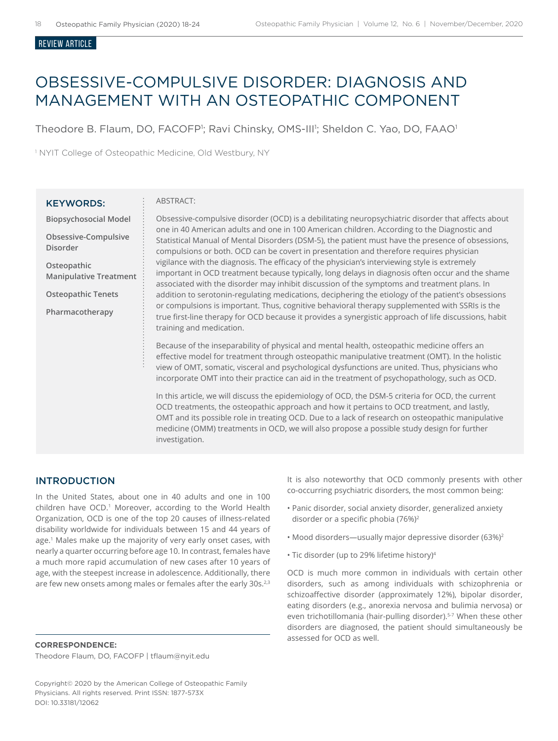#### Review ARTICLE

# OBSESSIVE-COMPULSIVE DISORDER: DIAGNOSIS AND MANAGEMENT WITH AN OSTEOPATHIC COMPONENT

Theodore B. Flaum, DO, FACOFP<sup>1</sup>; Ravi Chinsky, OMS-III<sup>1</sup>; Sheldon C. Yao, DO, FAAO<sup>1</sup>

<sup>1</sup> NYIT College of Osteopathic Medicine, Old Westbury, NY

#### KEYWORDS:

#### ABSTRACT:

**Biopsychosocial Model** 

**Obsessive-Compulsive Disorder**

**Osteopathic Manipulative Treatment**

**Osteopathic Tenets**

**Pharmacotherapy**

Obsessive-compulsive disorder (OCD) is a debilitating neuropsychiatric disorder that affects about one in 40 American adults and one in 100 American children. According to the Diagnostic and Statistical Manual of Mental Disorders (DSM-5), the patient must have the presence of obsessions, compulsions or both. OCD can be covert in presentation and therefore requires physician vigilance with the diagnosis. The efficacy of the physician's interviewing style is extremely important in OCD treatment because typically, long delays in diagnosis often occur and the shame associated with the disorder may inhibit discussion of the symptoms and treatment plans. In addition to serotonin-regulating medications, deciphering the etiology of the patient's obsessions or compulsions is important. Thus, cognitive behavioral therapy supplemented with SSRIs is the true first-line therapy for OCD because it provides a synergistic approach of life discussions, habit training and medication.

Because of the inseparability of physical and mental health, osteopathic medicine offers an effective model for treatment through osteopathic manipulative treatment (OMT). In the holistic view of OMT, somatic, visceral and psychological dysfunctions are united. Thus, physicians who incorporate OMT into their practice can aid in the treatment of psychopathology, such as OCD.

In this article, we will discuss the epidemiology of OCD, the DSM-5 criteria for OCD, the current OCD treatments, the osteopathic approach and how it pertains to OCD treatment, and lastly, OMT and its possible role in treating OCD. Due to a lack of research on osteopathic manipulative medicine (OMM) treatments in OCD, we will also propose a possible study design for further investigation.

# INTRODUCTION

In the United States, about one in 40 adults and one in 100 children have OCD.<sup>1</sup> Moreover, according to the World Health Organization, OCD is one of the top 20 causes of illness-related disability worldwide for individuals between 15 and 44 years of age.<sup>1</sup> Males make up the majority of very early onset cases, with nearly a quarter occurring before age 10. In contrast, females have a much more rapid accumulation of new cases after 10 years of age, with the steepest increase in adolescence. Additionally, there are few new onsets among males or females after the early 30s.<sup>2,3</sup>

**CORRESPONDENCE:**  Theodore Flaum, DO, FACOFP | tflaum@nyit.edu It is also noteworthy that OCD commonly presents with other co-occurring psychiatric disorders, the most common being:

- Panic disorder, social anxiety disorder, generalized anxiety disorder or a specific phobia (76%)<sup>2</sup>
- Mood disorders—usually major depressive disorder (63%)2
- Tic disorder (up to 29% lifetime history)4

OCD is much more common in individuals with certain other disorders, such as among individuals with schizophrenia or schizoaffective disorder (approximately 12%), bipolar disorder, eating disorders (e.g., anorexia nervosa and bulimia nervosa) or even trichotillomania (hair-pulling disorder).<sup>5-7</sup> When these other disorders are diagnosed, the patient should simultaneously be assessed for OCD as well.

Copyright© 2020 by the American College of Osteopathic Family Physicians. All rights reserved. Print ISSN: 1877-573X DOI: 10.33181/12062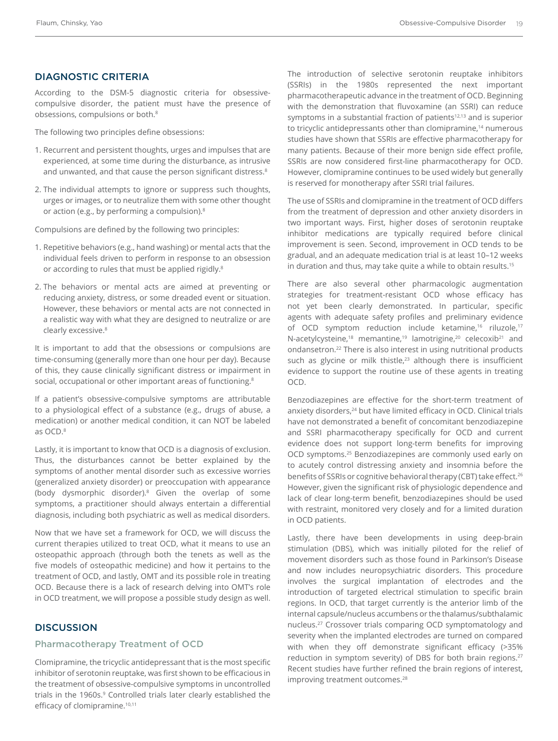# DIAGNOSTIC CRITERIA

According to the DSM-5 diagnostic criteria for obsessivecompulsive disorder, the patient must have the presence of obsessions, compulsions or both.<sup>8</sup>

The following two principles define obsessions:

- 1. Recurrent and persistent thoughts, urges and impulses that are experienced, at some time during the disturbance, as intrusive and unwanted, and that cause the person significant distress.<sup>8</sup>
- 2. The individual attempts to ignore or suppress such thoughts, urges or images, or to neutralize them with some other thought or action (e.g., by performing a compulsion).8

Compulsions are defined by the following two principles:

- 1. Repetitive behaviors (e.g., hand washing) or mental acts that the individual feels driven to perform in response to an obsession or according to rules that must be applied rigidly.<sup>8</sup>
- 2. The behaviors or mental acts are aimed at preventing or reducing anxiety, distress, or some dreaded event or situation. However, these behaviors or mental acts are not connected in a realistic way with what they are designed to neutralize or are clearly excessive.8

It is important to add that the obsessions or compulsions are time-consuming (generally more than one hour per day). Because of this, they cause clinically significant distress or impairment in social, occupational or other important areas of functioning.<sup>8</sup>

If a patient's obsessive-compulsive symptoms are attributable to a physiological effect of a substance (e.g., drugs of abuse, a medication) or another medical condition, it can NOT be labeled as OCD.8

Lastly, it is important to know that OCD is a diagnosis of exclusion. Thus, the disturbances cannot be better explained by the symptoms of another mental disorder such as excessive worries (generalized anxiety disorder) or preoccupation with appearance (body dysmorphic disorder).8 Given the overlap of some symptoms, a practitioner should always entertain a differential diagnosis, including both psychiatric as well as medical disorders.

Now that we have set a framework for OCD, we will discuss the current therapies utilized to treat OCD, what it means to use an osteopathic approach (through both the tenets as well as the five models of osteopathic medicine) and how it pertains to the treatment of OCD, and lastly, OMT and its possible role in treating OCD. Because there is a lack of research delving into OMT's role in OCD treatment, we will propose a possible study design as well.

# **DISCUSSION**

## Pharmacotherapy Treatment of OCD

Clomipramine, the tricyclic antidepressant that is the most specific inhibitor of serotonin reuptake, was first shown to be efficacious in the treatment of obsessive-compulsive symptoms in uncontrolled trials in the 1960s.<sup>9</sup> Controlled trials later clearly established the efficacy of clomipramine.<sup>10,11</sup>

The introduction of selective serotonin reuptake inhibitors (SSRIs) in the 1980s represented the next important pharmacotherapeutic advance in the treatment of OCD. Beginning with the demonstration that fluvoxamine (an SSRI) can reduce symptoms in a substantial fraction of patients<sup>12,13</sup> and is superior to tricyclic antidepressants other than clomipramine,<sup>14</sup> numerous studies have shown that SSRIs are effective pharmacotherapy for many patients. Because of their more benign side effect profile, SSRIs are now considered first-line pharmacotherapy for OCD. However, clomipramine continues to be used widely but generally is reserved for monotherapy after SSRI trial failures.

The use of SSRIs and clomipramine in the treatment of OCD differs from the treatment of depression and other anxiety disorders in two important ways. First, higher doses of serotonin reuptake inhibitor medications are typically required before clinical improvement is seen. Second, improvement in OCD tends to be gradual, and an adequate medication trial is at least 10–12 weeks in duration and thus, may take quite a while to obtain results.15

There are also several other pharmacologic augmentation strategies for treatment-resistant OCD whose efficacy has not yet been clearly demonstrated. In particular, specific agents with adequate safety profiles and preliminary evidence of OCD symptom reduction include ketamine,<sup>16</sup> riluzole,<sup>17</sup> N-acetylcysteine,<sup>18</sup> memantine,<sup>19</sup> lamotrigine,<sup>20</sup> celecoxib<sup>21</sup> and ondansetron.22 There is also interest in using nutritional products such as glycine or milk thistle,<sup>23</sup> although there is insufficient evidence to support the routine use of these agents in treating OCD.

Benzodiazepines are effective for the short-term treatment of anxiety disorders,<sup>24</sup> but have limited efficacy in OCD. Clinical trials have not demonstrated a benefit of concomitant benzodiazepine and SSRI pharmacotherapy specifically for OCD and current evidence does not support long-term benefits for improving OCD symptoms.25 Benzodiazepines are commonly used early on to acutely control distressing anxiety and insomnia before the benefits of SSRIs or cognitive behavioral therapy (CBT) take effect.<sup>26</sup> However, given the significant risk of physiologic dependence and lack of clear long-term benefit, benzodiazepines should be used with restraint, monitored very closely and for a limited duration in OCD patients.

Lastly, there have been developments in using deep-brain stimulation (DBS), which was initially piloted for the relief of movement disorders such as those found in Parkinson's Disease and now includes neuropsychiatric disorders. This procedure involves the surgical implantation of electrodes and the introduction of targeted electrical stimulation to specific brain regions. In OCD, that target currently is the anterior limb of the internal capsule/nucleus accumbens or the thalamus/subthalamic nucleus.27 Crossover trials comparing OCD symptomatology and severity when the implanted electrodes are turned on compared with when they off demonstrate significant efficacy (>35% reduction in symptom severity) of DBS for both brain regions.<sup>27</sup> Recent studies have further refined the brain regions of interest, improving treatment outcomes.<sup>28</sup>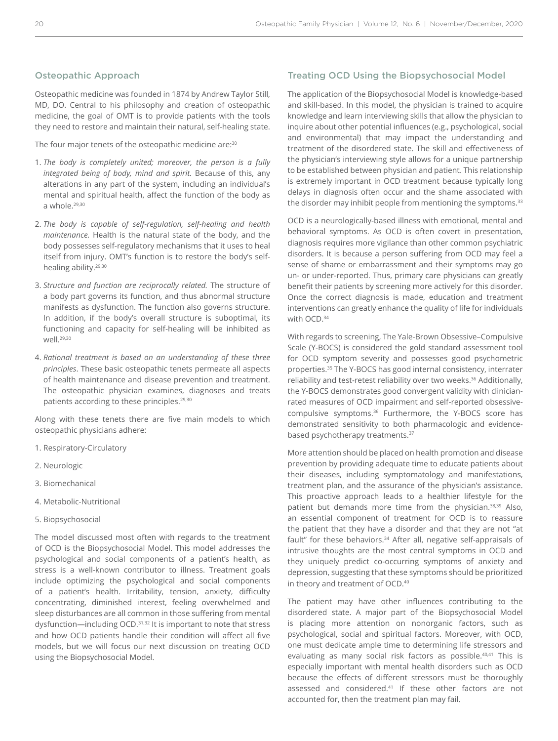#### Osteopathic Approach

Osteopathic medicine was founded in 1874 by Andrew Taylor Still, MD, DO. Central to his philosophy and creation of osteopathic medicine, the goal of OMT is to provide patients with the tools they need to restore and maintain their natural, self-healing state.

The four major tenets of the osteopathic medicine are:<sup>30</sup>

- 1. *The body is completely united; moreover, the person is a fully integrated being of body, mind and spirit.* Because of this, any alterations in any part of the system, including an individual's mental and spiritual health, affect the function of the body as a whole.29,30
- 2. *The body is capable of self-regulation, self-healing and health maintenance.* Health is the natural state of the body, and the body possesses self-regulatory mechanisms that it uses to heal itself from injury. OMT's function is to restore the body's selfhealing ability.29,30
- 3. *Structure and function are reciprocally related.* The structure of a body part governs its function, and thus abnormal structure manifests as dysfunction. The function also governs structure. In addition, if the body's overall structure is suboptimal, its functioning and capacity for self-healing will be inhibited as well.29,30
- 4. *Rational treatment is based on an understanding of these three principles*. These basic osteopathic tenets permeate all aspects of health maintenance and disease prevention and treatment. The osteopathic physician examines, diagnoses and treats patients according to these principles.<sup>29,30</sup>

Along with these tenets there are five main models to which osteopathic physicians adhere:

- 1. Respiratory-Circulatory
- 2. Neurologic
- 3. Biomechanical
- 4. Metabolic-Nutritional
- 5. Biopsychosocial

The model discussed most often with regards to the treatment of OCD is the Biopsychosocial Model. This model addresses the psychological and social components of a patient's health, as stress is a well-known contributor to illness. Treatment goals include optimizing the psychological and social components of a patient's health. Irritability, tension, anxiety, difficulty concentrating, diminished interest, feeling overwhelmed and sleep disturbances are all common in those suffering from mental dysfunction—including OCD.31,32 It is important to note that stress and how OCD patients handle their condition will affect all five models, but we will focus our next discussion on treating OCD using the Biopsychosocial Model.

### Treating OCD Using the Biopsychosocial Model

The application of the Biopsychosocial Model is knowledge-based and skill-based. In this model, the physician is trained to acquire knowledge and learn interviewing skills that allow the physician to inquire about other potential influences (e.g., psychological, social and environmental) that may impact the understanding and treatment of the disordered state. The skill and effectiveness of the physician's interviewing style allows for a unique partnership to be established between physician and patient. This relationship is extremely important in OCD treatment because typically long delays in diagnosis often occur and the shame associated with the disorder may inhibit people from mentioning the symptoms.<sup>33</sup>

OCD is a neurologically-based illness with emotional, mental and behavioral symptoms. As OCD is often covert in presentation, diagnosis requires more vigilance than other common psychiatric disorders. It is because a person suffering from OCD may feel a sense of shame or embarrassment and their symptoms may go un- or under-reported. Thus, primary care physicians can greatly benefit their patients by screening more actively for this disorder. Once the correct diagnosis is made, education and treatment interventions can greatly enhance the quality of life for individuals with OCD.34

With regards to screening, The Yale-Brown Obsessive–Compulsive Scale (Y-BOCS) is considered the gold standard assessment tool for OCD symptom severity and possesses good psychometric properties.35 The Y-BOCS has good internal consistency, interrater reliability and test-retest reliability over two weeks.<sup>36</sup> Additionally, the Y-BOCS demonstrates good convergent validity with clinicianrated measures of OCD impairment and self-reported obsessivecompulsive symptoms.36 Furthermore, the Y-BOCS score has demonstrated sensitivity to both pharmacologic and evidencebased psychotherapy treatments.<sup>37</sup>

More attention should be placed on health promotion and disease prevention by providing adequate time to educate patients about their diseases, including symptomatology and manifestations, treatment plan, and the assurance of the physician's assistance. This proactive approach leads to a healthier lifestyle for the patient but demands more time from the physician.38,39 Also, an essential component of treatment for OCD is to reassure the patient that they have a disorder and that they are not "at fault" for these behaviors.<sup>34</sup> After all, negative self-appraisals of intrusive thoughts are the most central symptoms in OCD and they uniquely predict co-occurring symptoms of anxiety and depression, suggesting that these symptoms should be prioritized in theory and treatment of OCD.40

The patient may have other influences contributing to the disordered state. A major part of the Biopsychosocial Model is placing more attention on nonorganic factors, such as psychological, social and spiritual factors. Moreover, with OCD, one must dedicate ample time to determining life stressors and evaluating as many social risk factors as possible.<sup>40,41</sup> This is especially important with mental health disorders such as OCD because the effects of different stressors must be thoroughly assessed and considered.<sup>41</sup> If these other factors are not accounted for, then the treatment plan may fail.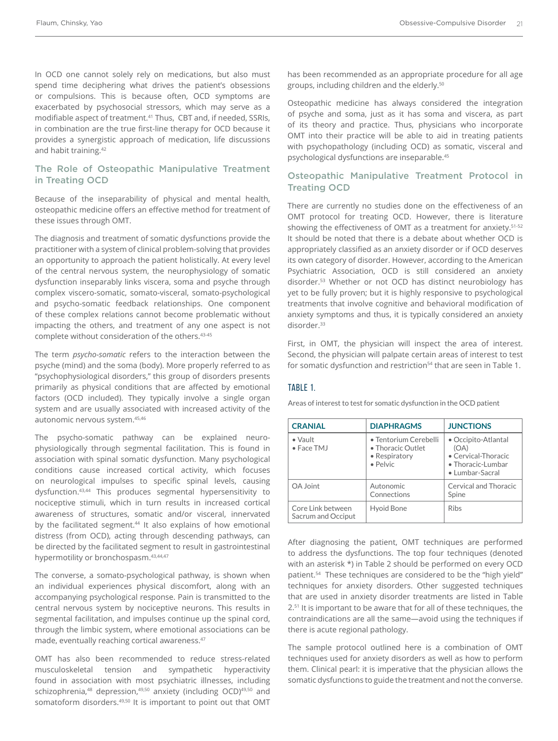In OCD one cannot solely rely on medications, but also must spend time deciphering what drives the patient's obsessions or compulsions. This is because often, OCD symptoms are exacerbated by psychosocial stressors, which may serve as a modifiable aspect of treatment.41 Thus, CBT and, if needed, SSRIs, in combination are the true first-line therapy for OCD because it provides a synergistic approach of medication, life discussions and habit training.42

# The Role of Osteopathic Manipulative Treatment in Treating OCD

Because of the inseparability of physical and mental health, osteopathic medicine offers an effective method for treatment of these issues through OMT.

The diagnosis and treatment of somatic dysfunctions provide the practitioner with a system of clinical problem-solving that provides an opportunity to approach the patient holistically. At every level of the central nervous system, the neurophysiology of somatic dysfunction inseparably links viscera, soma and psyche through complex viscero-somatic, somato-visceral, somato-psychological and psycho-somatic feedback relationships. One component of these complex relations cannot become problematic without impacting the others, and treatment of any one aspect is not complete without consideration of the others.43-45

The term *psycho-somatic* refers to the interaction between the psyche (mind) and the soma (body). More properly referred to as "psychophysiological disorders," this group of disorders presents primarily as physical conditions that are affected by emotional factors (OCD included). They typically involve a single organ system and are usually associated with increased activity of the autonomic nervous system.45,46

The psycho-somatic pathway can be explained neurophysiologically through segmental facilitation. This is found in association with spinal somatic dysfunction. Many psychological conditions cause increased cortical activity, which focuses on neurological impulses to specific spinal levels, causing dysfunction.43,44 This produces segmental hypersensitivity to nociceptive stimuli, which in turn results in increased cortical awareness of structures, somatic and/or visceral, innervated by the facilitated segment.<sup>44</sup> It also explains of how emotional distress (from OCD), acting through descending pathways, can be directed by the facilitated segment to result in gastrointestinal hypermotility or bronchospasm.43,44,47

The converse, a somato-psychological pathway, is shown when an individual experiences physical discomfort, along with an accompanying psychological response. Pain is transmitted to the central nervous system by nociceptive neurons. This results in segmental facilitation, and impulses continue up the spinal cord, through the limbic system, where emotional associations can be made, eventually reaching cortical awareness.<sup>47</sup>

OMT has also been recommended to reduce stress-related musculoskeletal tension and sympathetic hyperactivity found in association with most psychiatric illnesses, including schizophrenia,<sup>48</sup> depression,<sup>49,50</sup> anxiety (including OCD)<sup>49,50</sup> and somatoform disorders.<sup>49,50</sup> It is important to point out that OMT

has been recommended as an appropriate procedure for all age groups, including children and the elderly.50

Osteopathic medicine has always considered the integration of psyche and soma, just as it has soma and viscera, as part of its theory and practice. Thus, physicians who incorporate OMT into their practice will be able to aid in treating patients with psychopathology (including OCD) as somatic, visceral and psychological dysfunctions are inseparable.45

# Osteopathic Manipulative Treatment Protocol in Treating OCD

There are currently no studies done on the effectiveness of an OMT protocol for treating OCD. However, there is literature showing the effectiveness of OMT as a treatment for anxiety.<sup>51-52</sup> It should be noted that there is a debate about whether OCD is appropriately classified as an anxiety disorder or if OCD deserves its own category of disorder. However, according to the American Psychiatric Association, OCD is still considered an anxiety disorder.53 Whether or not OCD has distinct neurobiology has yet to be fully proven; but it is highly responsive to psychological treatments that involve cognitive and behavioral modification of anxiety symptoms and thus, it is typically considered an anxiety disorder.<sup>33</sup>

First, in OMT, the physician will inspect the area of interest. Second, the physician will palpate certain areas of interest to test for somatic dysfunction and restriction<sup>54</sup> that are seen in Table 1.

#### TABLE 1.

Areas of interest to test for somatic dysfunction in the OCD patient

| <b>CRANIAL</b>                          | <b>DIAPHRAGMS</b>                                                       | <b>JUNCTIONS</b>                                                                           |
|-----------------------------------------|-------------------------------------------------------------------------|--------------------------------------------------------------------------------------------|
| $\bullet$ Vault<br>• Face TMJ           | • Tentorium Cerebelli<br>• Thoracic Outlet<br>• Respiratory<br>• Pelvic | • Occipito-Atlantal<br>(OA)<br>• Cervical-Thoracic<br>• Thoracic-Lumbar<br>• Lumbar-Sacral |
| OA Joint                                | Autonomic<br>Connections                                                | Cervical and Thoracic<br>Spine                                                             |
| Core Link between<br>Sacrum and Occiput | <b>Hyoid Bone</b>                                                       | <b>Ribs</b>                                                                                |

After diagnosing the patient, OMT techniques are performed to address the dysfunctions. The top four techniques (denoted with an asterisk \*) in Table 2 should be performed on every OCD patient.<sup>54</sup> These techniques are considered to be the "high yield" techniques for anxiety disorders. Other suggested techniques that are used in anxiety disorder treatments are listed in Table 2.<sup>51</sup> It is important to be aware that for all of these techniques, the contraindications are all the same—avoid using the techniques if there is acute regional pathology.

The sample protocol outlined here is a combination of OMT techniques used for anxiety disorders as well as how to perform them. Clinical pearl: it is imperative that the physician allows the somatic dysfunctions to guide the treatment and not the converse.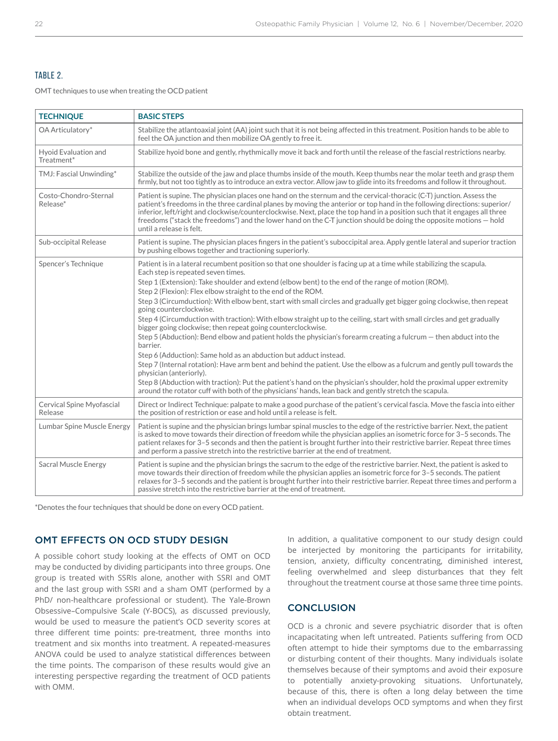# TABLE 2.

OMT techniques to use when treating the OCD patient

| <b>TECHNIQUE</b>                     | <b>BASIC STEPS</b>                                                                                                                                                                                                                                                                                                                                                                                                                                                                                                                                                                                                                                                                                                                                                                                                                                                                                                                                                                                                                                                                                                                                                                                                                                                                    |
|--------------------------------------|---------------------------------------------------------------------------------------------------------------------------------------------------------------------------------------------------------------------------------------------------------------------------------------------------------------------------------------------------------------------------------------------------------------------------------------------------------------------------------------------------------------------------------------------------------------------------------------------------------------------------------------------------------------------------------------------------------------------------------------------------------------------------------------------------------------------------------------------------------------------------------------------------------------------------------------------------------------------------------------------------------------------------------------------------------------------------------------------------------------------------------------------------------------------------------------------------------------------------------------------------------------------------------------|
| OA Articulatory*                     | Stabilize the atlantoaxial joint (AA) joint such that it is not being affected in this treatment. Position hands to be able to<br>feel the OA junction and then mobilize OA gently to free it.                                                                                                                                                                                                                                                                                                                                                                                                                                                                                                                                                                                                                                                                                                                                                                                                                                                                                                                                                                                                                                                                                        |
| Hyoid Evaluation and<br>Treatment*   | Stabilize hyoid bone and gently, rhythmically move it back and forth until the release of the fascial restrictions nearby.                                                                                                                                                                                                                                                                                                                                                                                                                                                                                                                                                                                                                                                                                                                                                                                                                                                                                                                                                                                                                                                                                                                                                            |
| TMJ: Fascial Unwinding*              | Stabilize the outside of the jaw and place thumbs inside of the mouth. Keep thumbs near the molar teeth and grasp them<br>firmly, but not too tightly as to introduce an extra vector. Allow jaw to glide into its freedoms and follow it throughout.                                                                                                                                                                                                                                                                                                                                                                                                                                                                                                                                                                                                                                                                                                                                                                                                                                                                                                                                                                                                                                 |
| Costo-Chondro-Sternal<br>Release*    | Patient is supine. The physician places one hand on the sternum and the cervical-thoracic (C-T) junction. Assess the<br>patient's freedoms in the three cardinal planes by moving the anterior or top hand in the following directions: superior/<br>inferior, left/right and clockwise/counterclockwise. Next, place the top hand in a position such that it engages all three<br>freedoms ("stack the freedoms") and the lower hand on the C-T junction should be doing the opposite motions - hold<br>until a release is felt.                                                                                                                                                                                                                                                                                                                                                                                                                                                                                                                                                                                                                                                                                                                                                     |
| Sub-occipital Release                | Patient is supine. The physician places fingers in the patient's suboccipital area. Apply gentle lateral and superior traction<br>by pushing elbows together and tractioning superiorly.                                                                                                                                                                                                                                                                                                                                                                                                                                                                                                                                                                                                                                                                                                                                                                                                                                                                                                                                                                                                                                                                                              |
| Spencer's Technique                  | Patient is in a lateral recumbent position so that one shoulder is facing up at a time while stabilizing the scapula.<br>Each step is repeated seven times.<br>Step 1 (Extension): Take shoulder and extend (elbow bent) to the end of the range of motion (ROM).<br>Step 2 (Flexion): Flex elbow straight to the end of the ROM.<br>Step 3 (Circumduction): With elbow bent, start with small circles and gradually get bigger going clockwise, then repeat<br>going counterclockwise.<br>Step 4 (Circumduction with traction): With elbow straight up to the ceiling, start with small circles and get gradually<br>bigger going clockwise; then repeat going counterclockwise.<br>Step 5 (Abduction): Bend elbow and patient holds the physician's forearm creating a fulcrum $-$ then abduct into the<br>barrier.<br>Step 6 (Adduction): Same hold as an abduction but adduct instead.<br>Step 7 (Internal rotation): Have arm bent and behind the patient. Use the elbow as a fulcrum and gently pull towards the<br>physician (anteriorly).<br>Step 8 (Abduction with traction): Put the patient's hand on the physician's shoulder, hold the proximal upper extremity<br>around the rotator cuff with both of the physicians' hands, lean back and gently stretch the scapula. |
| Cervical Spine Myofascial<br>Release | Direct or Indirect Technique: palpate to make a good purchase of the patient's cervical fascia. Move the fascia into either<br>the position of restriction or ease and hold until a release is felt.                                                                                                                                                                                                                                                                                                                                                                                                                                                                                                                                                                                                                                                                                                                                                                                                                                                                                                                                                                                                                                                                                  |
| Lumbar Spine Muscle Energy           | Patient is supine and the physician brings lumbar spinal muscles to the edge of the restrictive barrier. Next, the patient<br>is asked to move towards their direction of freedom while the physician applies an isometric force for 3-5 seconds. The<br>patient relaxes for 3-5 seconds and then the patient is brought further into their restrictive barrier. Repeat three times<br>and perform a passive stretch into the restrictive barrier at the end of treatment.                                                                                                                                                                                                                                                                                                                                                                                                                                                                                                                                                                                                                                                                                                                                                                                                            |
| Sacral Muscle Energy                 | Patient is supine and the physician brings the sacrum to the edge of the restrictive barrier. Next, the patient is asked to<br>move towards their direction of freedom while the physician applies an isometric force for 3-5 seconds. The patient<br>relaxes for 3-5 seconds and the patient is brought further into their restrictive barrier. Repeat three times and perform a<br>passive stretch into the restrictive barrier at the end of treatment.                                                                                                                                                                                                                                                                                                                                                                                                                                                                                                                                                                                                                                                                                                                                                                                                                            |

\*Denotes the four techniques that should be done on every OCD patient.

# OMT EFFECTS ON OCD STUDY DESIGN

A possible cohort study looking at the effects of OMT on OCD may be conducted by dividing participants into three groups. One group is treated with SSRIs alone, another with SSRI and OMT and the last group with SSRI and a sham OMT (performed by a PhD/ non-healthcare professional or student). The Yale-Brown Obsessive–Compulsive Scale (Y-BOCS), as discussed previously, would be used to measure the patient's OCD severity scores at three different time points: pre-treatment, three months into treatment and six months into treatment. A repeated-measures ANOVA could be used to analyze statistical differences between the time points. The comparison of these results would give an interesting perspective regarding the treatment of OCD patients with OMM.

In addition, a qualitative component to our study design could be interjected by monitoring the participants for irritability, tension, anxiety, difficulty concentrating, diminished interest, feeling overwhelmed and sleep disturbances that they felt throughout the treatment course at those same three time points.

# **CONCLUSION**

OCD is a chronic and severe psychiatric disorder that is often incapacitating when left untreated. Patients suffering from OCD often attempt to hide their symptoms due to the embarrassing or disturbing content of their thoughts. Many individuals isolate themselves because of their symptoms and avoid their exposure to potentially anxiety-provoking situations. Unfortunately, because of this, there is often a long delay between the time when an individual develops OCD symptoms and when they first obtain treatment.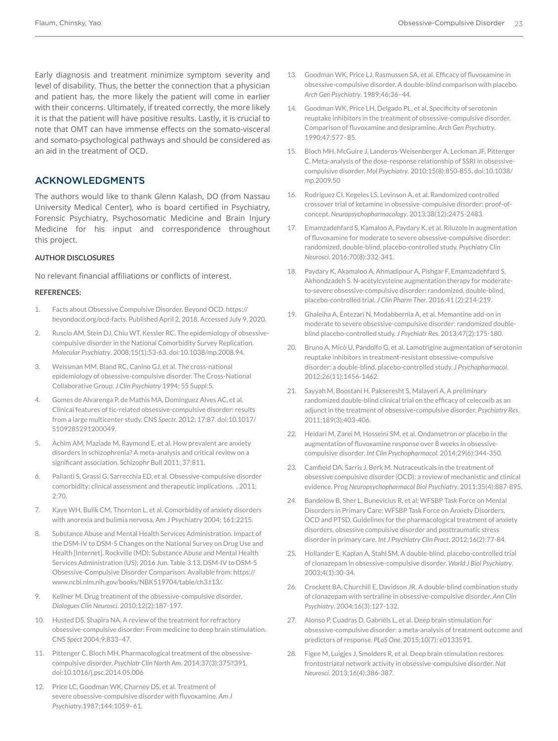Early diagnosis and treatment minimize symptom severity and level of disability. Thus, the better the connection that a physician and patient has, the more likely the patient will come in earlier with their concerns. Ultimately, if treated correctly, the more likely it is that the patient will have positive results. Lastly, it is crucial to note that OMT can have immense effects on the somato-visceral and somato-psychological pathways and should be considered as an aid in the treatment of OCD.

### ACKNOWLEDGMENTS

The authors would like to thank Glenn Kalash, DO (from Nassau University Medical Center), who is board certified in Psychiatry, Forensic Psychiatry, Psychosomatic Medicine and Brain Injury Medicine for his input and correspondence throughout this project.

#### **AUTHOR DISCLOSURES**

No relevant financial affiliations or conflicts of interest.

#### **REFERENCES:**

- 1. Facts about Obsessive Compulsive Disorder. Beyond OCD. https:// beyondocd.org/ocd-facts. Published April 2, 2018. Accessed July 9, 2020.
- 2. Ruscio AM, Stein DJ, Chiu WT, Kessler RC. The epidemiology of obsessivecompulsive disorder in the National Comorbidity Survey Replication. *Molecular Psychiatry*. 2008;15(1):53-63. doi:10.1038/mp.2008.94.
- 3. Weissman MM, Bland RC, Canino GJ, et al. The cross-national epidemiology of obsessive-compulsive disorder. The Cross-National Collaborative Group. *J Clin Psychiatry* 1994; 55 Suppl:5.
- 4. Gomes de Alvarenga P, de Mathis MA, Dominguez Alves AC, et al. Clinical features of tic-related obsessive-compulsive disorder: results from a large multicenter study. CNS *Spect*r. 2012; 17:87. doi:10.1017/ S109285291200049.
- 5. Achim AM, Maziade M, Raymond E, et al. How prevalent are anxiety disorders in schizophrenia? A meta-analysis and critical review on a significant association. Schizophr Bull 2011; 37:811.
- 6. Pallanti S, Grassi G, Sarrecchia ED, et al. Obsessive-compulsive disorder comorbidity: clinical assessment and therapeutic implications. . 2011;  $2:70.$
- 7. Kaye WH, Bulik CM, Thornton L, et al. Comorbidity of anxiety disorders with anorexia and bulimia nervosa. Am J Psychiatry 2004; 161:2215.
- 8. Substance Abuse and Mental Health Services Administration. Impact of the DSM-IV to DSM-5 Changes on the National Survey on Drug Use and Health [Internet]. Rockville (MD): Substance Abuse and Mental Health Services Administration (US); 2016 Jun. Table 3.13, DSM-IV to DSM-5 Obsessive-Compulsive Disorder Comparison. Available from: https:// www.ncbi.nlm.nih.gov/books/NBK519704/table/ch3.t13/.
- 9. Kellner M. Drug treatment of the obsessive-compulsive disorder. *Dialogues Clin Neurosci*. 2010;12(2):187-197.
- 10. Husted DS, Shapira NA. A review of the treatment for refractory obsessive-compulsive disorder: From medicine to deep brain stimulation. CNS *Spect* 2004;9:833–47.
- 11. Pittenger C, Bloch MH. Pharmacological treatment of the obsessivecompulsive disorder. *Psychiatr Clin North Am.* 2014;37(3):3752391. doi:10.1016/j.psc.2014.05.006
- 12. Price LC, Goodman WK, Charney DS, et al. Treatment of severe obsessive-compulsive disorder with fluvoxamine. *Am J Psychiatry*.1987;144:1059–61.
- 13. Goodman WK, Price LJ, Rasmussen SA, et al. Efficacy of fluvoxamine in obsessive-compulsive disorder. A double-blind comparison with placebo. *Arch Gen Psychiatry*. 1989;46:36–44.
- 14. Goodman WK, Price LH, Delgado PL, et al. Specificity of serotonin reuptake inhibitors in the treatment of obsessive-compulsive disorder. Comparison of fluvoxamine and desipramine. *Arch Gen Psychiatry*. 1990;47:577–85.
- 15. Bloch MH, McGuire J, Landeros-Weisenberger A, Leckman JF, Pittenger C. Meta-analysis of the dose-response relationship of SSRI in obsessivecompulsive disorder. *Mol Psychiatry*. 2010;15(8):850-855. doi:10.1038/ mp.2009.50
- 16. Rodriguez CI, Kegeles LS, Levinson A, et al. Randomized controlled crossover trial of ketamine in obsessive-compulsive disorder: proof-ofconcept. *Neuropsychopharmacology*. 2013;38(12):2475-2483.
- 17. Emamzadehfard S, Kamaloo A, Paydary K, et al. Riluzole in augmentation of fluvoxamine for moderate to severe obsessive-compulsive disorder: randomized, double-blind, placebo-controlled study. *Psychiatry Clin Neurosci*. 2016;70(8):332-341.
- 18. Paydary K, Akamaloo A, Ahmadipour A, Pishgar F, Emamzadehfard S, Akhondzadeh S. N-acetylcysteine augmentation therapy for moderateto-severe obsessive-compulsive disorder: randomized, double-blind, placebo-controlled trial. *J Clin Pharm Ther*. 2016;41 (2):214-219.
- 19. Ghaleiha A, Entezari N, Modabbernia A, et al. Memantine add-on in moderate to severe obsessive-compulsive disorder: randomized doubleblind placebo-controlled study. *J Psychiatr Res*. 2013;47(2):175-180.
- 20. Bruno A, Micò U, Pandolfo G, et al. Lamotrigine augmentation of serotonin reuptake inhibitors in treatment-resistant obsessive-compulsive disorder: a double-blind, placebo-controlled study. *J Psychopharmacol*. 2012;26(11):1456-1462.
- 21. Sayyah M, Boostani H, Pakseresht S, Malayeri A. A preliminary randomized double-blind clinical trial on the efficacy of celecoxib as an adjunct in the treatment of obsessive-compulsive disorder. *Psychiatry Res*. 2011;189(3):403-406.
- 22. Heidari M, Zarei M, Hosseini SM, et al. Ondansetron or placebo in the augmentation of fluvoxamine response over 8 weeks in obsessivecompulsive disorder. *Int Clin Psychopharmacol*. 2014;29(6):344-350.
- 23. Camfield DA, Sarris J, Berk M. Nutraceuticals in the treatment of obsessive compulsive disorder (OCD): a review of mechanistic and clinical evidence. Prog *Neuropsychopharmacol Biol Psychiatry*. 2011;35(4):887-895.
- 24. Bandelow B, Sher L, Bunevicius R, et al; WFSBP Task Force on Mental Disorders in Primary Care; WFSBP Task Force on Anxiety Disorders, OCD and PTSD. Guidelines for the pharmacological treatment of anxiety disorders, obsessive compulsive disorder and posttraumatic stress disorder in primary care. *Int J Psychiatry Clin Pract*. 2012;16(2):77-84.
- 25. Hollander E, Kaplan A, Stahl SM. A double-blind, placebo-controlled trial of clonazepam in obsessive-compulsive disorder. *World J Biol Psychiatry*. 2003;4(1):30-34.
- 26. Crockett BA, Churchill E, Davidson JR. A double-blind combination study of clonazepam with sertraline in obsessive-compulsive disorder. *Ann Clin Psychiatry*. 2004;16(3):127-132.
- 27. Alonso P, Cuadras D, Gabriëls L, et al. Deep brain stimulation for obsessive-compulsive disorder: a meta-analysis of treatment outcome and predictors of response. *PLoS One*. 2015;10(7): e0133591.
- 28. Figee M, Luigjes J, Smolders R, et al. Deep brain stimulation restores frontostriatal network activity in obsessive-compulsive disorder. *Nat Neurosci*. 2013;16(4):386-387.